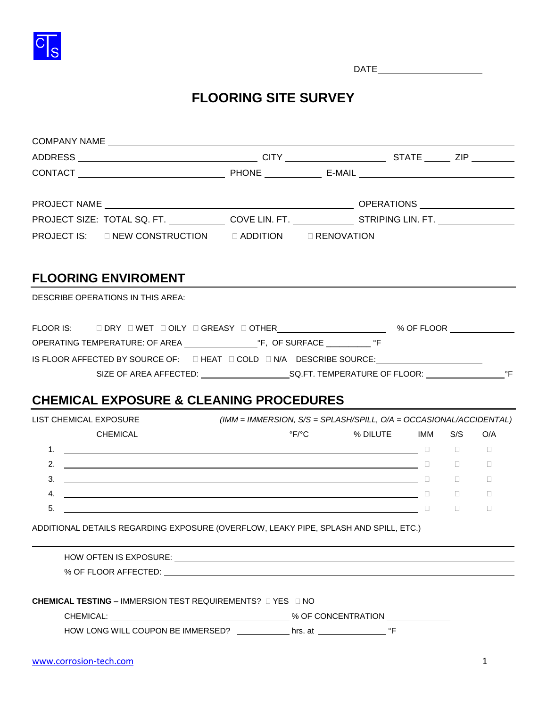

DATE

# **FLOORING SITE SURVEY**

|                        | PROJECT SIZE: TOTAL SQ. FT. ______________COVE LIN. FT. _______________STRIPING LIN. FT. ____________________ |                                                                       |                                               |              |                            |        |
|------------------------|---------------------------------------------------------------------------------------------------------------|-----------------------------------------------------------------------|-----------------------------------------------|--------------|----------------------------|--------|
|                        | PROJECT IS: □ NEW CONSTRUCTION □ ADDITION □ RENOVATION                                                        |                                                                       |                                               |              |                            |        |
|                        | <b>FLOORING ENVIROMENT</b>                                                                                    |                                                                       |                                               |              |                            |        |
|                        | <b>DESCRIBE OPERATIONS IN THIS AREA:</b>                                                                      |                                                                       |                                               |              |                            |        |
|                        |                                                                                                               |                                                                       |                                               |              |                            |        |
|                        |                                                                                                               |                                                                       |                                               |              |                            |        |
|                        | IS FLOOR AFFECTED BY SOURCE OF: □ HEAT □ COLD □ N/A DESCRIBE SOURCE: __________________                       |                                                                       |                                               |              |                            |        |
|                        |                                                                                                               |                                                                       |                                               |              |                            |        |
|                        |                                                                                                               |                                                                       |                                               |              |                            |        |
|                        | <b>CHEMICAL EXPOSURE &amp; CLEANING PROCEDURES</b>                                                            |                                                                       |                                               |              |                            |        |
| LIST CHEMICAL EXPOSURE |                                                                                                               |                                                                       |                                               |              |                            |        |
|                        |                                                                                                               | $(IMM = IMMERSION, S/S = SPLASH/SPILL, O/A = OCCASIONAL/ACCIDENTIAL)$ |                                               |              |                            |        |
|                        | <b>CHEMICAL</b>                                                                                               |                                                                       | $\mathrm{P} \mathsf{F} \mathrm{P} \mathsf{C}$ | % DILUTE IMM | S/S                        | O/A    |
|                        |                                                                                                               |                                                                       |                                               |              |                            |        |
|                        |                                                                                                               |                                                                       |                                               |              |                            |        |
|                        |                                                                                                               |                                                                       |                                               |              |                            |        |
|                        |                                                                                                               |                                                                       |                                               |              |                            |        |
| 5.                     |                                                                                                               |                                                                       |                                               |              | the control of the control | $\Box$ |
|                        | ADDITIONAL DETAILS REGARDING EXPOSURE (OVERFLOW, LEAKY PIPE, SPLASH AND SPILL, ETC.)                          |                                                                       |                                               |              |                            |        |
|                        |                                                                                                               |                                                                       |                                               |              |                            |        |
|                        |                                                                                                               |                                                                       |                                               |              |                            |        |
|                        |                                                                                                               |                                                                       |                                               |              |                            |        |
|                        | <b>CHEMICAL TESTING – IMMERSION TEST REQUIREMENTS? □ YES □ NO</b>                                             |                                                                       |                                               |              |                            |        |
|                        |                                                                                                               |                                                                       |                                               |              |                            |        |
|                        | HOW LONG WILL COUPON BE IMMERSED? _____________ hrs. at _________________________ °F                          |                                                                       |                                               |              |                            |        |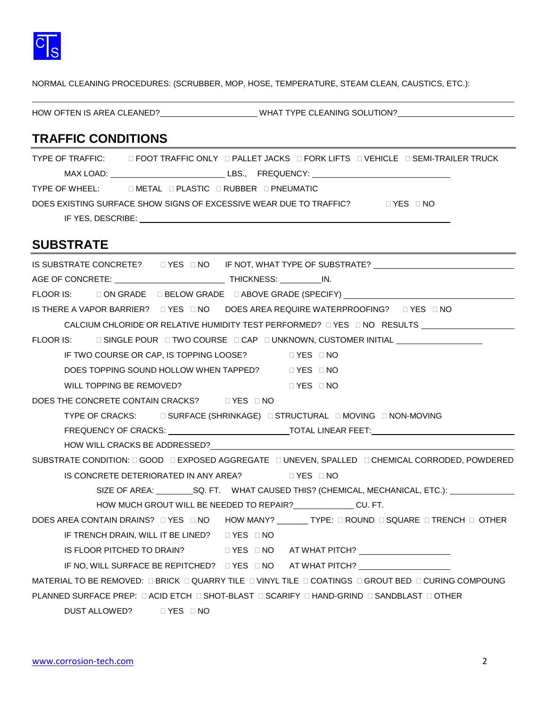

NORMAL CLEANING PROCEDURES: (SCRUBBER, MOP, HOSE, TEMPERATURE, STEAM CLEAN, CAUSTICS, ETC.):

HOW OFTEN IS AREA CLEANED? WHAT TYPE CLEANING SOLUTION?

#### **TRAFFIC CONDITIONS**

| TYPE OF TRAFFIC: | □ FOOT TRAFFIC ONLY □ PALLET JACKS □ FORK LIFTS □ VEHICLE □ SEMI-TRAILER TRUCK             |
|------------------|--------------------------------------------------------------------------------------------|
|                  |                                                                                            |
|                  | TYPE OF WHEEL: DIETAL DIPLASTIC DIRUBBER DIPNEUMATIC                                       |
|                  | DOES EXISTING SURFACE SHOW SIGNS OF EXCESSIVE WEAR DUE TO TRAFFIC?<br>$\Box$ YES $\Box$ NO |
|                  |                                                                                            |

#### **SUBSTRATE**

| IS SUBSTRATE CONCRETE? □ YES □ NO IF NOT, WHAT TYPE OF SUBSTRATE? ______________                                                                                                                                              |
|-------------------------------------------------------------------------------------------------------------------------------------------------------------------------------------------------------------------------------|
|                                                                                                                                                                                                                               |
| FLOOR IS: □ ON GRADE □ BELOW GRADE □ ABOVE GRADE (SPECIFY) _____________________                                                                                                                                              |
| IS THERE A VAPOR BARRIER? □ YES □ NO DOES AREA REQUIRE WATERPROOFING? □ YES □ NO                                                                                                                                              |
| CALCIUM CHLORIDE OR RELATIVE HUMIDITY TEST PERFORMED? $\Box$ YES $\Box$ NO RESULTS                                                                                                                                            |
| FLOOR IS: □ SINGLE POUR □ TWO COURSE □ CAP □ UNKNOWN, CUSTOMER INITIAL _______________                                                                                                                                        |
| IF TWO COURSE OR CAP, IS TOPPING LOOSE? IN THES IND                                                                                                                                                                           |
| DOES TOPPING SOUND HOLLOW WHEN TAPPED? □ YES □ NO                                                                                                                                                                             |
| WILL TOPPING BE REMOVED?<br><b>EXES DNO</b>                                                                                                                                                                                   |
| DOES THE CONCRETE CONTAIN CRACKS? DYES DNO                                                                                                                                                                                    |
| TYPE OF CRACKS: □ SURFACE (SHRINKAGE) □ STRUCTURAL □ MOVING □ NON-MOVING                                                                                                                                                      |
|                                                                                                                                                                                                                               |
| HOW WILL CRACKS BE ADDRESSED? THE RESERVED ON A 200 SET OF STREET AND THE RESERVED ON A 200 SET OF STREET AND THE RESERVED ON A 200 SET OF STREET AND A 200 SET OF STREET AND A 200 SET OF STREET AND A 200 SET OF STREET AND |
| SUBSTRATE CONDITION: 0 GOOD 0 EXPOSED AGGREGATE 0 UNEVEN, SPALLED 0 CHEMICAL CORRODED, POWDERED                                                                                                                               |
| IS CONCRETE DETERIORATED IN ANY AREA? □ YES □ NO                                                                                                                                                                              |
|                                                                                                                                                                                                                               |
| HOW MUCH GROUT WILL BE NEEDED TO REPAIR? CU. FT.                                                                                                                                                                              |
| DOES AREA CONTAIN DRAINS? □ YES □ NO HOW MANY? _______TYPE: □ ROUND □ SQUARE □ TRENCH □ OTHER                                                                                                                                 |
| IF TRENCH DRAIN, WILL IT BE LINED? $\Box$ YES $\Box$ NO                                                                                                                                                                       |
|                                                                                                                                                                                                                               |
|                                                                                                                                                                                                                               |
| MATERIAL TO BE REMOVED: LERICK LEQUARRY TILE LEVINYL TILE LE COATINGS LEGROUT BED LE CURING COMPOUNG                                                                                                                          |
| PLANNED SURFACE PREP: □ ACID ETCH □ SHOT-BLAST □ SCARIFY □ HAND-GRIND □ SANDBLAST □ OTHER                                                                                                                                     |
| DUST ALLOWED? J YES D NO                                                                                                                                                                                                      |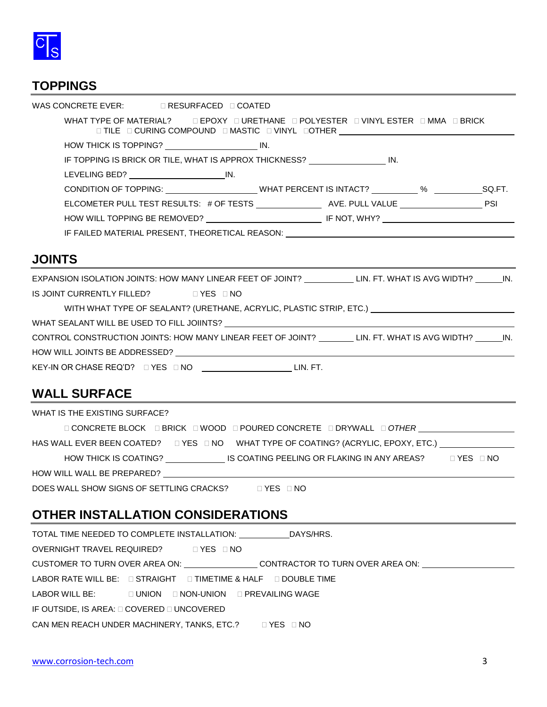

#### **TOPPINGS**

| WAS CONCRETE EVER: $\Box$ RESURFACED $\Box$ COATED |                                                                                                                                                               |  |  |
|----------------------------------------------------|---------------------------------------------------------------------------------------------------------------------------------------------------------------|--|--|
|                                                    | WHAT TYPE OF MATERIAL? THE POXY THRETHANE TROLYESTER THINYL ESTER THMMA THRICK<br>□ TILE □ CURING COMPOUND □ MASTIC □ VINYL □OTHER ██████████████████████████ |  |  |
|                                                    | HOW THICK IS TOPPING? NOW THICK IS TOPPING?                                                                                                                   |  |  |
|                                                    | IF TOPPING IS BRICK OR TILE. WHAT IS APPROX THICKNESS? IN THIS APPROVER IN.                                                                                   |  |  |
| LEVELING BED? IN.                                  |                                                                                                                                                               |  |  |
|                                                    | CONDITION OF TOPPING: WHAT PERCENT IS INTACT? WE SQ.FT.                                                                                                       |  |  |
|                                                    |                                                                                                                                                               |  |  |
|                                                    | HOW WILL TOPPING BE REMOVED? THE RESERVED OF THE NOT, WHY?                                                                                                    |  |  |
|                                                    | IF FAILED MATERIAL PRESENT, THEORETICAL REASON: Network and the contract of the contract of the contract of the                                               |  |  |
|                                                    |                                                                                                                                                               |  |  |

#### **JOINTS**

| IS JOINT CURRENTLY FILLED? DYES DNO<br>WITH WHAT TYPE OF SEALANT? (URETHANE, ACRYLIC, PLASTIC STRIP, ETC.) ________________________________<br>CONTROL CONSTRUCTION JOINTS: HOW MANY LINEAR FEET OF JOINT? LIN. FT. WHAT IS AVG WIDTH? IN.<br>KEY-IN OR CHASE REQ'D? □ YES □ NO ____________________________LIN. FT. | EXPANSION ISOLATION JOINTS: HOW MANY LINEAR FEET OF JOINT? LIN. FT. WHAT IS AVG WIDTH? IN. |  |
|----------------------------------------------------------------------------------------------------------------------------------------------------------------------------------------------------------------------------------------------------------------------------------------------------------------------|--------------------------------------------------------------------------------------------|--|
|                                                                                                                                                                                                                                                                                                                      |                                                                                            |  |
|                                                                                                                                                                                                                                                                                                                      |                                                                                            |  |
|                                                                                                                                                                                                                                                                                                                      |                                                                                            |  |
|                                                                                                                                                                                                                                                                                                                      |                                                                                            |  |
|                                                                                                                                                                                                                                                                                                                      |                                                                                            |  |
|                                                                                                                                                                                                                                                                                                                      |                                                                                            |  |

### **WALL SURFACE**

| WHAT IS THE EXISTING SURFACE?                                                                                   |                          |
|-----------------------------------------------------------------------------------------------------------------|--------------------------|
| <b>□ CONCRETE BLOCK    □ BRICK    □ WOOD    □ POURED CONCRETE    □ DRYWALL   □ OTHER</b>                        |                          |
| HAS WALL EVER BEEN COATED? □ YES □ NO   WHAT TYPE OF COATING? (ACRYLIC, EPOXY, ETC.) △ △ △ △ △ △ △ △            |                          |
| HOW THICK IS COATING? IS COATING PEELING OR FLAKING IN ANY AREAS?                                               | $\sqcap$ YES $\sqcap$ NO |
| HOW WILL WALL BE PREPARED? THE MANUSCRIPT OF THE STATE OF THE STATE OF THE STATE OF THE STATE OF THE STATE OF T |                          |
| DOES WALL SHOW SIGNS OF SETTLING CRACKS?<br>$\Box$ YES $\Box$ NO                                                |                          |

## **OTHER INSTALLATION CONSIDERATIONS**

| TOTAL TIME NEEDED TO COMPLETE INSTALLATION: DAYS/HRS.                         |                                                                                                      |
|-------------------------------------------------------------------------------|------------------------------------------------------------------------------------------------------|
| OVERNIGHT TRAVEL REQUIRED? J YES JNO                                          |                                                                                                      |
|                                                                               | CUSTOMER TO TURN OVER AREA ON: ___________________CONTRACTOR TO TURN OVER AREA ON: _________________ |
| LABOR RATE WILL BE: $\Box$ STRAIGHT $\Box$ TIMETIME & HALF $\Box$ DOUBLE TIME |                                                                                                      |
| LABOR WILL BE: $\Box$ UNION $\Box$ NON-UNION $\Box$ PREVAILING WAGE           |                                                                                                      |
| IF OUTSIDE, IS AREA: $\square$ COVERED $\square$ UNCOVERED                    |                                                                                                      |
| CAN MEN REACH UNDER MACHINERY. TANKS. ETC.? $\square$ YES $\square$ NO        |                                                                                                      |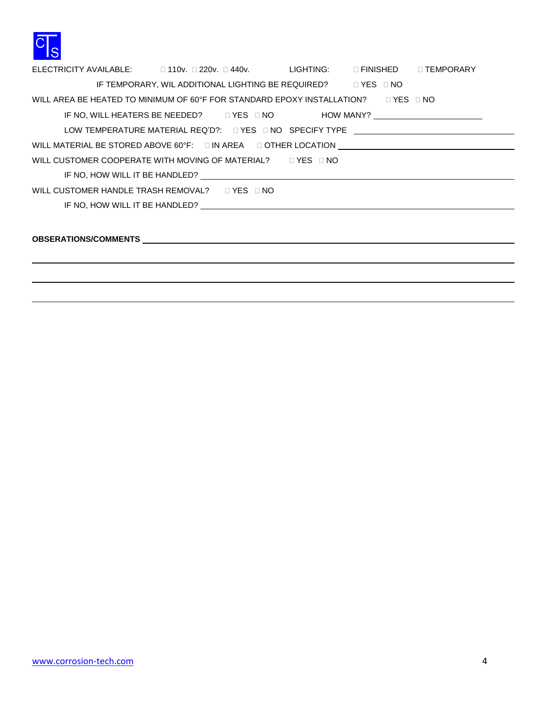

| ELECTRICITY AVAILABLE: □ 110v. □ 220v. □ 440v. UIGHTING: □ FINISHED □ TEMPORARY                                                                                                       |                                                                                  |  |  |  |  |  |  |
|---------------------------------------------------------------------------------------------------------------------------------------------------------------------------------------|----------------------------------------------------------------------------------|--|--|--|--|--|--|
|                                                                                                                                                                                       | IF TEMPORARY, WIL ADDITIONAL LIGHTING BE REQUIRED? UP YES UNO                    |  |  |  |  |  |  |
| WILL AREA BE HEATED TO MINIMUM OF 60°F FOR STANDARD EPOXY INSTALLATION? $\Box$ YES $\Box$ NO                                                                                          |                                                                                  |  |  |  |  |  |  |
|                                                                                                                                                                                       | IF NO, WILL HEATERS BE NEEDED? □ YES □ NO HOW MANY? ____________________________ |  |  |  |  |  |  |
|                                                                                                                                                                                       |                                                                                  |  |  |  |  |  |  |
| WILL MATERIAL BE STORED ABOVE 60°F: □ IN AREA □ OTHER LOCATION UNIVERALLY ALLOWER AND THE STORED ABOVE 60°F: □ IN AREA □ OTHER LOCATION UNIVERALLY ALLOWER AND THE STORED ABOVE 60°F: |                                                                                  |  |  |  |  |  |  |
| WILL CUSTOMER COOPERATE WITH MOVING OF MATERIAL? $\Box$ YES $\Box$ NO                                                                                                                 |                                                                                  |  |  |  |  |  |  |
|                                                                                                                                                                                       |                                                                                  |  |  |  |  |  |  |
| WILL CUSTOMER HANDLE TRASH REMOVAL? $\Box$ YES $\Box$ NO                                                                                                                              |                                                                                  |  |  |  |  |  |  |
|                                                                                                                                                                                       |                                                                                  |  |  |  |  |  |  |
|                                                                                                                                                                                       |                                                                                  |  |  |  |  |  |  |
|                                                                                                                                                                                       |                                                                                  |  |  |  |  |  |  |
|                                                                                                                                                                                       |                                                                                  |  |  |  |  |  |  |
|                                                                                                                                                                                       |                                                                                  |  |  |  |  |  |  |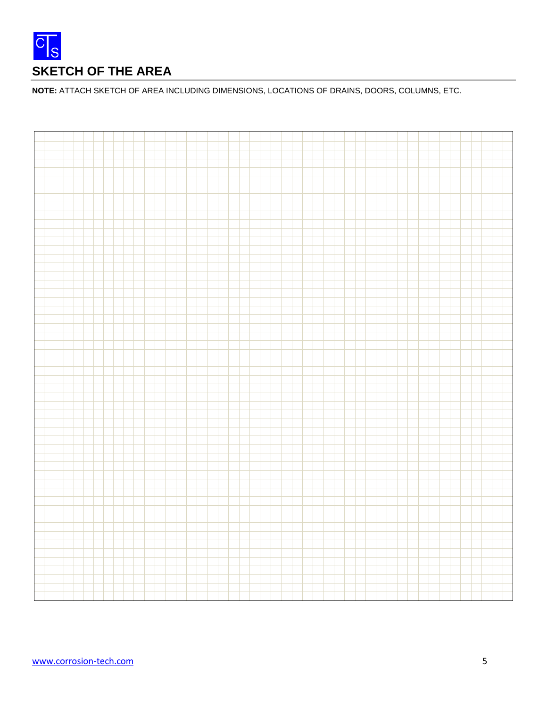

**NOTE:** ATTACH SKETCH OF AREA INCLUDING DIMENSIONS, LOCATIONS OF DRAINS, DOORS, COLUMNS, ETC.